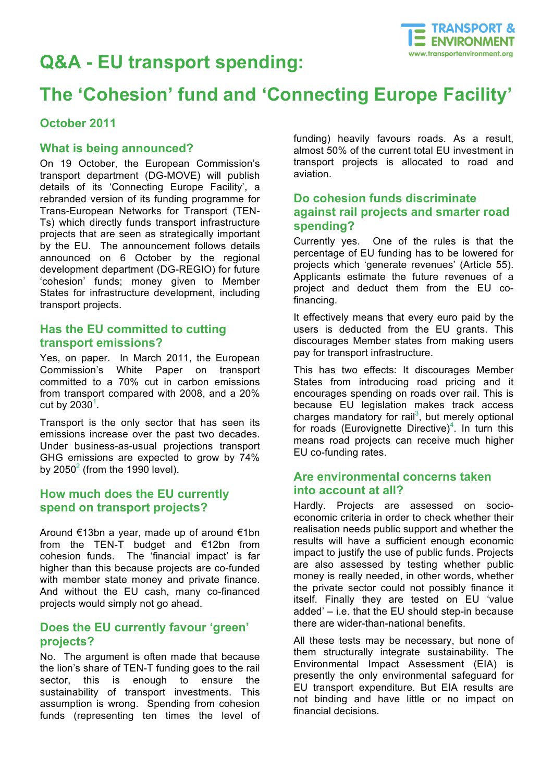

# **Q&A - EU transport spending:**

# **The 'Cohesion' fund and 'Connecting Europe Facility'**

#### **October 2011**

#### **What is being announced?**

On 19 October, the European Commission's transport department (DG-MOVE) will publish details of its 'Connecting Europe Facility', a rebranded version of its funding programme for Trans-European Networks for Transport (TEN-Ts) which directly funds transport infrastructure projects that are seen as strategically important by the EU. The announcement follows details announced on 6 October by the regional development department (DG-REGIO) for future 'cohesion' funds; money given to Member States for infrastructure development, including transport projects.

#### **Has the EU committed to cutting transport emissions?**

Yes, on paper. In March 2011, the European Commission's White Paper on transport committed to a 70% cut in carbon emissions from transport compared with 2008, and a 20% cut by 2030 $^1$ .

Transport is the only sector that has seen its emissions increase over the past two decades. Under business-as-usual projections transport GHG emissions are expected to grow by 74% by  $2050<sup>2</sup>$  (from the 1990 level).

# **How much does the EU currently spend on transport projects?**

Around €13bn a year, made up of around €1bn from the TEN-T budget and  $\epsilon$ 12bn from cohesion funds. The 'financial impact' is far higher than this because projects are co-funded with member state money and private finance. And without the EU cash, many co-financed projects would simply not go ahead.

#### **Does the EU currently favour 'green' projects?**

No. The argument is often made that because the lion's share of TEN-T funding goes to the rail sector, this is enough to ensure the sustainability of transport investments. This assumption is wrong. Spending from cohesion funds (representing ten times the level of funding) heavily favours roads. As a result, almost 50% of the current total EU investment in transport projects is allocated to road and aviation.

## **Do cohesion funds discriminate against rail projects and smarter road spending?**

Currently yes. One of the rules is that the percentage of EU funding has to be lowered for projects which 'generate revenues' (Article 55). Applicants estimate the future revenues of a project and deduct them from the EU cofinancing.

It effectively means that every euro paid by the users is deducted from the EU grants. This discourages Member states from making users pay for transport infrastructure.

This has two effects: It discourages Member States from introducing road pricing and it encourages spending on roads over rail. This is because EU legislation makes track access charges mandatory for rail<sup>3</sup>, but merely optional for roads (Eurovignette Directive)<sup>4</sup>. In turn this means road projects can receive much higher EU co-funding rates.

# **Are environmental concerns taken into account at all?**

Hardly. Projects are assessed on socioeconomic criteria in order to check whether their realisation needs public support and whether the results will have a sufficient enough economic impact to justify the use of public funds. Projects are also assessed by testing whether public money is really needed, in other words, whether the private sector could not possibly finance it itself. Finally they are tested on EU 'value added' – i.e. that the EU should step-in because there are wider-than-national benefits.

All these tests may be necessary, but none of them structurally integrate sustainability. The Environmental Impact Assessment (EIA) is presently the only environmental safeguard for EU transport expenditure. But EIA results are not binding and have little or no impact on financial decisions.